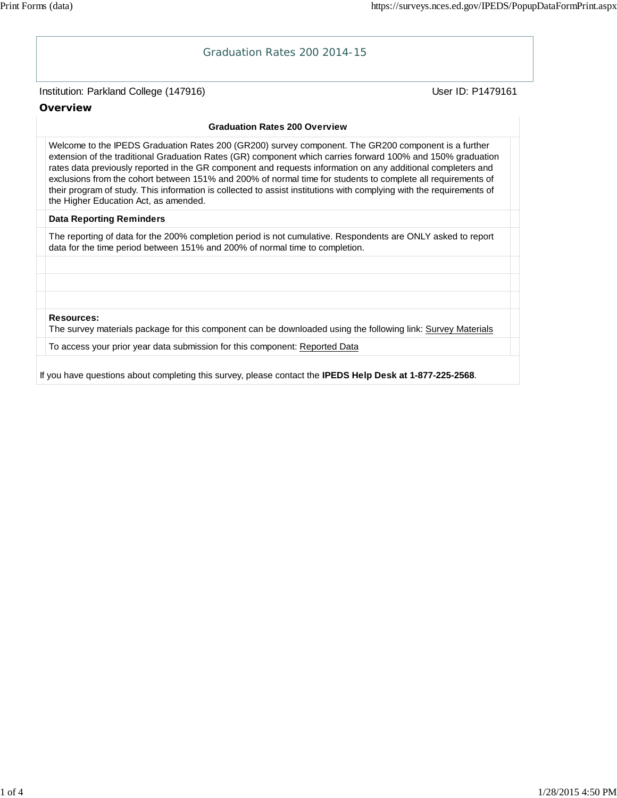# Institution: Parkland College (147916) November 2012 12: Physics User ID: P1479161 Graduation Rates 200 2014-15 **Overview Graduation Rates 200 Overview** Welcome to the IPEDS Graduation Rates 200 (GR200) survey component. The GR200 component is a further extension of the traditional Graduation Rates (GR) component which carries forward 100% and 150% graduation rates data previously reported in the GR component and requests information on any additional completers and exclusions from the cohort between 151% and 200% of normal time for students to complete all requirements of their program of study. This information is collected to assist institutions with complying with the requirements of the Higher Education Act, as amended. **Data Reporting Reminders** The reporting of data for the 200% completion period is not cumulative. Respondents are ONLY asked to report data for the time period between 151% and 200% of normal time to completion. **Resources:** The survey materials package for this component can be downloaded using the following link: Survey Materials To access your prior year data submission for this component: Reported Data If you have questions about completing this survey, please contact the **IPEDS Help Desk at 1-877-225-2568**.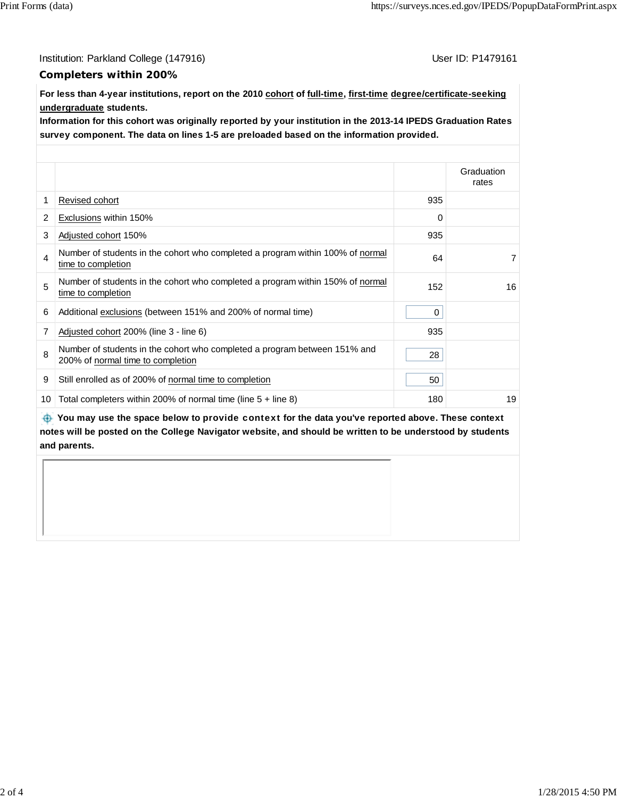Institution: Parkland College (147916) Contract College (147916)

#### **Completers within 200%**

**For less than 4-year institutions, report on the 2010 cohort of full-time, first-time degree/certificate-seeking undergraduate students.**

**Information for this cohort was originally reported by your institution in the 2013-14 IPEDS Graduation Rates survey component. The data on lines 1-5 are preloaded based on the information provided.**

|                |                                                                                                                |     | Graduation<br>rates |
|----------------|----------------------------------------------------------------------------------------------------------------|-----|---------------------|
| 1              | Revised cohort                                                                                                 | 935 |                     |
| $\overline{2}$ | Exclusions within 150%                                                                                         | 0   |                     |
| 3              | Adjusted cohort 150%                                                                                           | 935 |                     |
| 4              | Number of students in the cohort who completed a program within 100% of normal<br>time to completion           | 64  | $\overline{7}$      |
| 5              | Number of students in the cohort who completed a program within 150% of normal<br>time to completion           | 152 | 16                  |
| 6              | Additional exclusions (between 151% and 200% of normal time)                                                   | 0   |                     |
| 7              | Adjusted cohort 200% (line 3 - line 6)                                                                         | 935 |                     |
| 8              | Number of students in the cohort who completed a program between 151% and<br>200% of normal time to completion | 28  |                     |
| 9              | Still enrolled as of 200% of normal time to completion                                                         | 50  |                     |
| 10             | Total completers within 200% of normal time (line $5 +$ line 8)                                                | 180 | 19                  |

 **You may use the space below to** provide context **for the data you've reported above. These context notes will be posted on the College Navigator website, and should be written to be understood by students and parents.**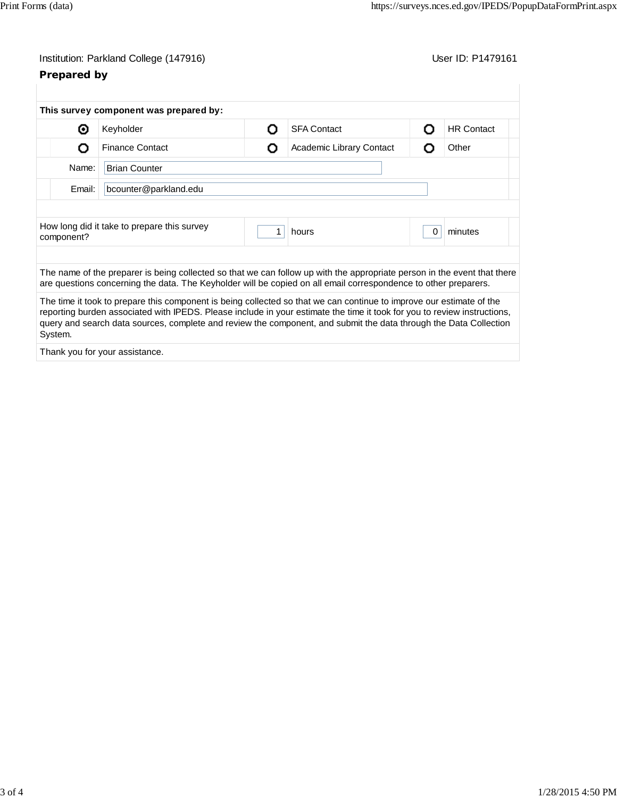## Institution: Parkland College (147916) Contract College (147916)

## **Prepared by**

|                                 | This survey component was prepared by:                                                                                                                                                                                                                                                                                                                                |   |                          |          |                   |  |
|---------------------------------|-----------------------------------------------------------------------------------------------------------------------------------------------------------------------------------------------------------------------------------------------------------------------------------------------------------------------------------------------------------------------|---|--------------------------|----------|-------------------|--|
| ⊙                               | Keyholder                                                                                                                                                                                                                                                                                                                                                             | റ | <b>SFA Contact</b>       | O        | <b>HR Contact</b> |  |
| Ω                               | <b>Finance Contact</b>                                                                                                                                                                                                                                                                                                                                                | О | Academic Library Contact | Ο        | Other             |  |
| Name:<br><b>Brian Counter</b>   |                                                                                                                                                                                                                                                                                                                                                                       |   |                          |          |                   |  |
| Email:<br>bcounter@parkland.edu |                                                                                                                                                                                                                                                                                                                                                                       |   |                          |          |                   |  |
|                                 |                                                                                                                                                                                                                                                                                                                                                                       |   |                          |          |                   |  |
| component?                      | How long did it take to prepare this survey                                                                                                                                                                                                                                                                                                                           |   | hours                    | $\Omega$ | minutes           |  |
|                                 |                                                                                                                                                                                                                                                                                                                                                                       |   |                          |          |                   |  |
|                                 | The name of the preparer is being collected so that we can follow up with the appropriate person in the event that there<br>are questions concerning the data. The Keyholder will be copied on all email correspondence to other preparers.                                                                                                                           |   |                          |          |                   |  |
| System.                         | The time it took to prepare this component is being collected so that we can continue to improve our estimate of the<br>reporting burden associated with IPEDS. Please include in your estimate the time it took for you to review instructions,<br>query and search data sources, complete and review the component, and submit the data through the Data Collection |   |                          |          |                   |  |
|                                 |                                                                                                                                                                                                                                                                                                                                                                       |   |                          |          |                   |  |

Thank you for your assistance.